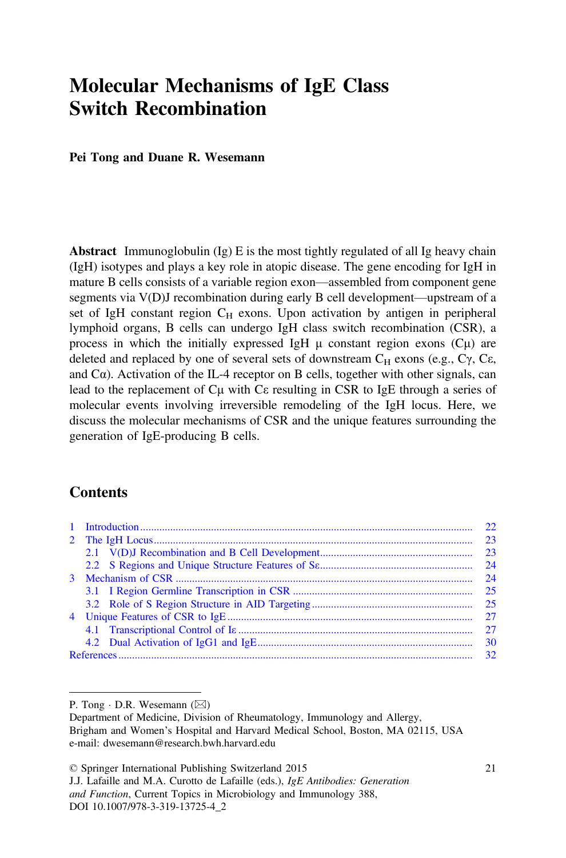# Molecular Mechanisms of IgE Class Switch Recombination

Pei Tong and Duane R. Wesemann

Abstract Immunoglobulin  $(Ig)$  E is the most tightly regulated of all Ig heavy chain (IgH) isotypes and plays a key role in atopic disease. The gene encoding for IgH in mature B cells consists of a variable region exon—assembled from component gene segments via V(D)J recombination during early B cell development—upstream of a set of IgH constant region  $C_H$  exons. Upon activation by antigen in peripheral lymphoid organs, B cells can undergo IgH class switch recombination (CSR), a process in which the initially expressed IgH  $\mu$  constant region exons (C $\mu$ ) are deleted and replaced by one of several sets of downstream  $C_H$  exons (e.g., C $\gamma$ , C $\varepsilon$ , and  $Ca$ ). Activation of the IL-4 receptor on B cells, together with other signals, can lead to the replacement of Cμ with Cε resulting in CSR to IgE through a series of molecular events involving irreversible remodeling of the IgH locus. Here, we discuss the molecular mechanisms of CSR and the unique features surrounding the generation of IgE-producing B cells.

# **Contents**

P. Tong  $\cdot$  D.R. Wesemann ( $\boxtimes$ )

Department of Medicine, Division of Rheumatology, Immunology and Allergy, Brigham and Women's Hospital and Harvard Medical School, Boston, MA 02115, USA e-mail: dwesemann@research.bwh.harvard.edu

<sup>©</sup> Springer International Publishing Switzerland 2015

J.J. Lafaille and M.A. Curotto de Lafaille (eds.), IgE Antibodies: Generation and Function, Current Topics in Microbiology and Immunology 388, DOI 10.1007/978-3-319-13725-4\_2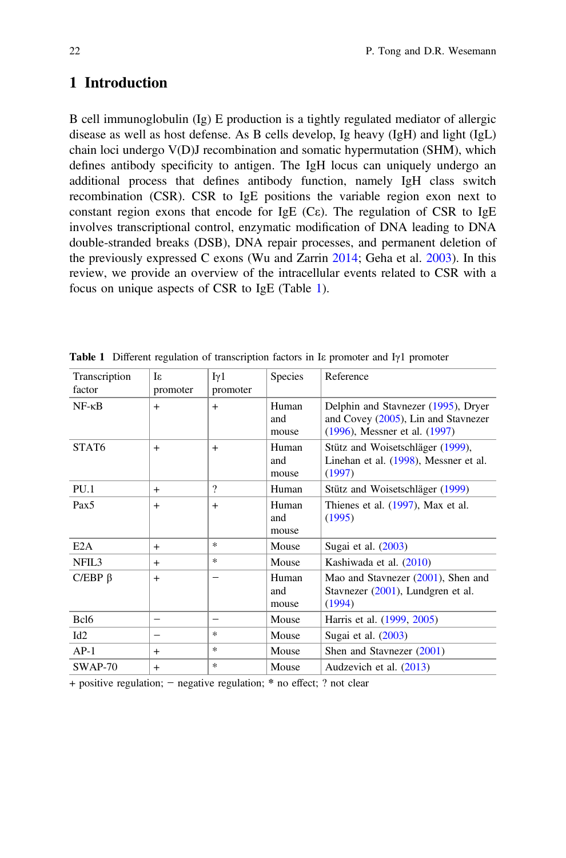# <span id="page-1-0"></span>1 Introduction

B cell immunoglobulin (Ig) E production is a tightly regulated mediator of allergic disease as well as host defense. As B cells develop, Ig heavy (IgH) and light (IgL) chain loci undergo V(D)J recombination and somatic hypermutation (SHM), which defines antibody specificity to antigen. The IgH locus can uniquely undergo an additional process that defines antibody function, namely IgH class switch recombination (CSR). CSR to IgE positions the variable region exon next to constant region exons that encode for IgE (C $\varepsilon$ ). The regulation of CSR to IgE involves transcriptional control, enzymatic modification of DNA leading to DNA double-stranded breaks (DSB), DNA repair processes, and permanent deletion of the previously expressed C exons (Wu and Zarrin [2014](#page-15-0); Geha et al. [2003](#page-12-0)). In this review, we provide an overview of the intracellular events related to CSR with a focus on unique aspects of CSR to IgE (Table 1).

| Transcription<br>factor | Iε<br>promoter | $I_{\gamma}1$<br>promoter | <b>Species</b>        | Reference                                                                           |
|-------------------------|----------------|---------------------------|-----------------------|-------------------------------------------------------------------------------------|
| $NF - \kappa B$         | $^{+}$         | $+$                       | Human<br>and          | Delphin and Stavnezer (1995), Dryer<br>and Covey (2005), Lin and Stavnezer          |
|                         |                |                           | mouse                 | (1996), Messner et al. (1997)                                                       |
| STAT <sub>6</sub>       | $^{+}$         | $+$                       | Human<br>and<br>mouse | Stütz and Woisetschläger (1999),<br>Linehan et al. (1998), Messner et al.<br>(1997) |
| PU.1                    | $+$            | $\gamma$                  | Human                 | Stütz and Woisetschläger (1999)                                                     |
| Pax <sub>5</sub>        | $+$            | $+$                       | Human<br>and<br>mouse | Thienes et al. (1997), Max et al.<br>(1995)                                         |
| E <sub>2</sub> A        | $+$            | $\ast$                    | Mouse                 | Sugai et al. (2003)                                                                 |
| NFIL3                   | $^{+}$         | $\ast$                    | Mouse                 | Kashiwada et al. (2010)                                                             |
| $C/EBP \beta$           | $^{+}$         |                           | Human<br>and<br>mouse | Mao and Stavnezer (2001), Shen and<br>Stavnezer (2001), Lundgren et al.<br>(1994)   |
| Bcl <sub>6</sub>        | —              |                           | Mouse                 | Harris et al. (1999, 2005)                                                          |
| Id <sub>2</sub>         |                | *                         | Mouse                 | Sugai et al. (2003)                                                                 |
| $AP-1$                  | $\ddot{}$      | $\ast$                    | Mouse                 | Shen and Stavnezer (2001)                                                           |
| SWAP-70                 | $^{+}$         | $\ast$                    | Mouse                 | Audzevich et al. (2013)                                                             |

**Table 1** Different regulation of transcription factors in I $\epsilon$  promoter and I<sub>Y</sub>1 promoter

+ positive regulation; − negative regulation; \* no effect; ? not clear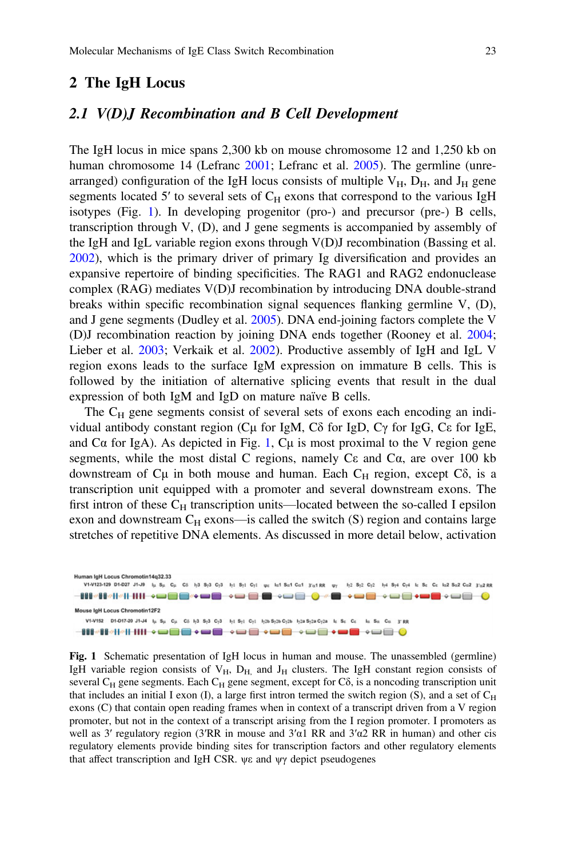# <span id="page-2-0"></span>2 The IgH Locus

## 2.1 V(D)J Recombination and B Cell Development

The IgH locus in mice spans 2,300 kb on mouse chromosome 12 and 1,250 kb on human chromosome 14 (Lefranc [2001](#page-12-0); Lefranc et al. [2005\)](#page-12-0). The germline (unrearranged) configuration of the IgH locus consists of multiple  $V_H$ ,  $D_H$ , and  $J_H$  gene segments located 5' to several sets of  $C_H$  exons that correspond to the various IgH isotypes (Fig. 1). In developing progenitor (pro-) and precursor (pre-) B cells, transcription through V, (D), and J gene segments is accompanied by assembly of the IgH and IgL variable region exons through V(D)J recombination (Bassing et al. [2002\)](#page-11-0), which is the primary driver of primary Ig diversification and provides an expansive repertoire of binding specificities. The RAG1 and RAG2 endonuclease complex (RAG) mediates V(D)J recombination by introducing DNA double-strand breaks within specific recombination signal sequences flanking germline V, (D), and J gene segments (Dudley et al. [2005\)](#page-12-0). DNA end-joining factors complete the V (D)J recombination reaction by joining DNA ends together (Rooney et al. [2004;](#page-14-0) Lieber et al. [2003;](#page-13-0) Verkaik et al. [2002](#page-15-0)). Productive assembly of IgH and IgL V region exons leads to the surface IgM expression on immature B cells. This is followed by the initiation of alternative splicing events that result in the dual expression of both IgM and IgD on mature naïve B cells.

The  $C_H$  gene segments consist of several sets of exons each encoding an individual antibody constant region (Cu for IgM, C $\delta$  for IgD, C $\gamma$  for IgG, C $\epsilon$  for IgE, and C $\alpha$  for IgA). As depicted in Fig. 1, C $\mu$  is most proximal to the V region gene segments, while the most distal C regions, namely Cε and Cα, are over 100 kb downstream of  $C\mu$  in both mouse and human. Each  $C<sub>H</sub>$  region, except  $C\delta$ , is a transcription unit equipped with a promoter and several downstream exons. The first intron of these  $C_H$  transcription units—located between the so-called I epsilon exon and downstream  $C_H$  exons—is called the switch  $(S)$  region and contains large stretches of repetitive DNA elements. As discussed in more detail below, activation

| Human IgH Locus Chromotin14g32.33 |  |                                                                                                                                                                                                                                                                              |  |  |  |  |  |  |
|-----------------------------------|--|------------------------------------------------------------------------------------------------------------------------------------------------------------------------------------------------------------------------------------------------------------------------------|--|--|--|--|--|--|
|                                   |  | V1-V123-129 D1-D27 J1-J9 Iµ Sµ Cµ C5 Iy3 Sy3 Cy3 Iy1 Sy1 Cy1 we lat Sat Ca1 3'a1RR wy Iy2 Sy2 Cy2 Iy4 Sy4 Cy4 Ie Se Ce la2 Sa2 Ca2 3'a2RR                                                                                                                                    |  |  |  |  |  |  |
|                                   |  |                                                                                                                                                                                                                                                                              |  |  |  |  |  |  |
| Mouse IgH Locus Chromotin12F2     |  |                                                                                                                                                                                                                                                                              |  |  |  |  |  |  |
|                                   |  | V1-V152 D1-D17-20 J1-J4 IL SL CL C6 I <sub>1</sub> 3 S <sub>1</sub> 3 C <sub>1</sub> 3 I <sub>7</sub> 1 S <sub>7</sub> 1 C <sub>7</sub> 1 I <sub>2</sub> 2b S <sub>7</sub> 2b C <sub>7</sub> 2b I <sub>7</sub> 2a S <sub>7</sub> 2a C <sub>7</sub> 2a Ic Sc Cc Ic Sc Cc 3'RR |  |  |  |  |  |  |
|                                   |  | ▐▌▌▞▌▞▏▞▏▎▎ <sup></sup> ▝▀▊▆▝▀█▔▝▀▊▝▀▘▅▝▊▔▘▀▊▝▀█                                                                                                                                                                                                                             |  |  |  |  |  |  |

Fig. 1 Schematic presentation of IgH locus in human and mouse. The unassembled (germline) IgH variable region consists of  $V_H$ ,  $D_H$ , and  $J_H$  clusters. The IgH constant region consists of several  $C_H$  gene segments. Each  $C_H$  gene segment, except for  $C\delta$ , is a noncoding transcription unit that includes an initial I exon (I), a large first intron termed the switch region (S), and a set of  $C_H$ exons (C) that contain open reading frames when in context of a transcript driven from a V region promoter, but not in the context of a transcript arising from the I region promoter. I promoters as well as 3' regulatory region (3'RR in mouse and  $3' \alpha$ 1 RR and  $3' \alpha$ 2 RR in human) and other cis regulatory elements provide binding sites for transcription factors and other regulatory elements that affect transcription and IgH CSR. ψε and ψγ depict pseudogenes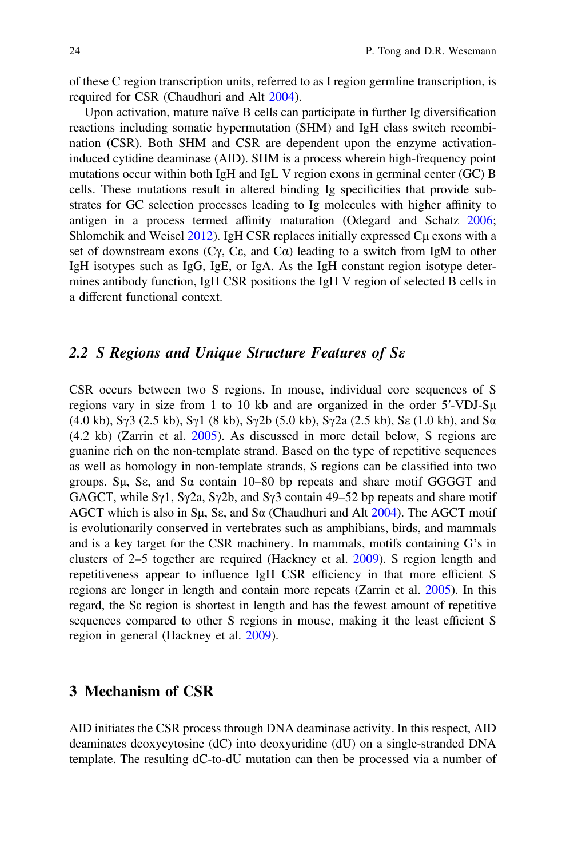<span id="page-3-0"></span>of these C region transcription units, referred to as I region germline transcription, is required for CSR (Chaudhuri and Alt [2004\)](#page-11-0).

Upon activation, mature naïve B cells can participate in further Ig diversification reactions including somatic hypermutation (SHM) and IgH class switch recombination (CSR). Both SHM and CSR are dependent upon the enzyme activationinduced cytidine deaminase (AID). SHM is a process wherein high-frequency point mutations occur within both IgH and IgL V region exons in germinal center (GC) B cells. These mutations result in altered binding Ig specificities that provide substrates for GC selection processes leading to Ig molecules with higher affinity to antigen in a process termed affinity maturation (Odegard and Schatz [2006;](#page-14-0) Shlomchik and Weisel [2012\)](#page-14-0). IgH CSR replaces initially expressed Cμ exons with a set of downstream exons (Cγ, Cε, and Cα) leading to a switch from IgM to other IgH isotypes such as IgG, IgE, or IgA. As the IgH constant region isotype determines antibody function, IgH CSR positions the IgH V region of selected B cells in a different functional context.

# 2.2 S Regions and Unique Structure Features of Sε

CSR occurs between two S regions. In mouse, individual core sequences of S regions vary in size from 1 to 10 kb and are organized in the order 5′-VDJ-Sμ (4.0 kb), Sγ3 (2.5 kb), Sγ1 (8 kb), Sγ2b (5.0 kb), Sγ2a (2.5 kb), Sε (1.0 kb), and Sα (4.2 kb) (Zarrin et al. [2005\)](#page-15-0). As discussed in more detail below, S regions are guanine rich on the non-template strand. Based on the type of repetitive sequences as well as homology in non-template strands, S regions can be classified into two groups. S<sub>H</sub>, S<sub>ε</sub>, and S<sub>α</sub> contain  $10-80$  bp repeats and share motif GGGGT and GAGCT, while  $S_{\gamma}$ 1,  $S_{\gamma}$ 2a,  $S_{\gamma}$ 2b, and  $S_{\gamma}$ 3 contain 49–52 bp repeats and share motif AGCT which is also in Sμ, Sε, and Sα (Chaudhuri and Alt [2004](#page-11-0)). The AGCT motif is evolutionarily conserved in vertebrates such as amphibians, birds, and mammals and is a key target for the CSR machinery. In mammals, motifs containing G's in clusters of 2–5 together are required (Hackney et al. [2009](#page-12-0)). S region length and repetitiveness appear to influence IgH CSR efficiency in that more efficient S regions are longer in length and contain more repeats (Zarrin et al. [2005](#page-15-0)). In this regard, the Sε region is shortest in length and has the fewest amount of repetitive sequences compared to other S regions in mouse, making it the least efficient S region in general (Hackney et al. [2009\)](#page-12-0).

### 3 Mechanism of CSR

AID initiates the CSR process through DNA deaminase activity. In this respect, AID deaminates deoxycytosine (dC) into deoxyuridine (dU) on a single-stranded DNA template. The resulting dC-to-dU mutation can then be processed via a number of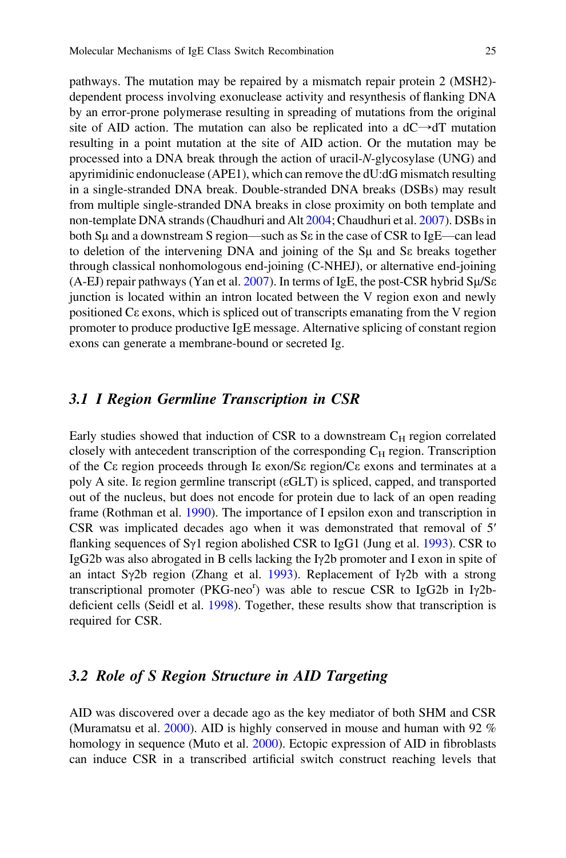<span id="page-4-0"></span>pathways. The mutation may be repaired by a mismatch repair protein 2 (MSH2) dependent process involving exonuclease activity and resynthesis of flanking DNA by an error-prone polymerase resulting in spreading of mutations from the original site of AID action. The mutation can also be replicated into a  $dC \rightarrow dT$  mutation resulting in a point mutation at the site of AID action. Or the mutation may be processed into a DNA break through the action of uracil-N-glycosylase (UNG) and apyrimidinic endonuclease (APE1), which can remove the dU:dG mismatch resulting in a single-stranded DNA break. Double-stranded DNA breaks (DSBs) may result from multiple single-stranded DNA breaks in close proximity on both template and non-template DNA strands (Chaudhuri and Alt [2004;](#page-11-0) Chaudhuri et al. [2007\)](#page-11-0). DSBs in both Sμ and a downstream S region—such as Sε in the case of CSR to IgE—can lead to deletion of the intervening DNA and joining of the Sμ and Sε breaks together through classical nonhomologous end-joining (C-NHEJ), or alternative end-joining (A-EJ) repair pathways (Yan et al. [2007](#page-15-0)). In terms of IgE, the post-CSR hybrid  $S\mu/Se$ junction is located within an intron located between the V region exon and newly positioned Cε exons, which is spliced out of transcripts emanating from the V region promoter to produce productive IgE message. Alternative splicing of constant region exons can generate a membrane-bound or secreted Ig.

# 3.1 I Region Germline Transcription in CSR

Early studies showed that induction of CSR to a downstream  $C_H$  region correlated closely with antecedent transcription of the corresponding  $C_H$  region. Transcription of the Cε region proceeds through Iε exon/Sε region/Cε exons and terminates at a poly A site. Iε region germline transcript (εGLT) is spliced, capped, and transported out of the nucleus, but does not encode for protein due to lack of an open reading frame (Rothman et al. [1990\)](#page-14-0). The importance of I epsilon exon and transcription in CSR was implicated decades ago when it was demonstrated that removal of 5′ flanking sequences of Sγ1 region abolished CSR to IgG1 (Jung et al. [1993](#page-12-0)). CSR to IgG2b was also abrogated in B cells lacking the Iγ2b promoter and I exon in spite of an intact Sγ2b region (Zhang et al. [1993\)](#page-16-0). Replacement of Iγ2b with a strong transcriptional promoter (PKG-neo<sup>r</sup>) was able to rescue CSR to IgG2b in Iγ2bdeficient cells (Seidl et al. [1998\)](#page-14-0). Together, these results show that transcription is required for CSR.

# 3.2 Role of S Region Structure in AID Targeting

AID was discovered over a decade ago as the key mediator of both SHM and CSR (Muramatsu et al. [2000](#page-13-0)). AID is highly conserved in mouse and human with 92 % homology in sequence (Muto et al. [2000](#page-13-0)). Ectopic expression of AID in fibroblasts can induce CSR in a transcribed artificial switch construct reaching levels that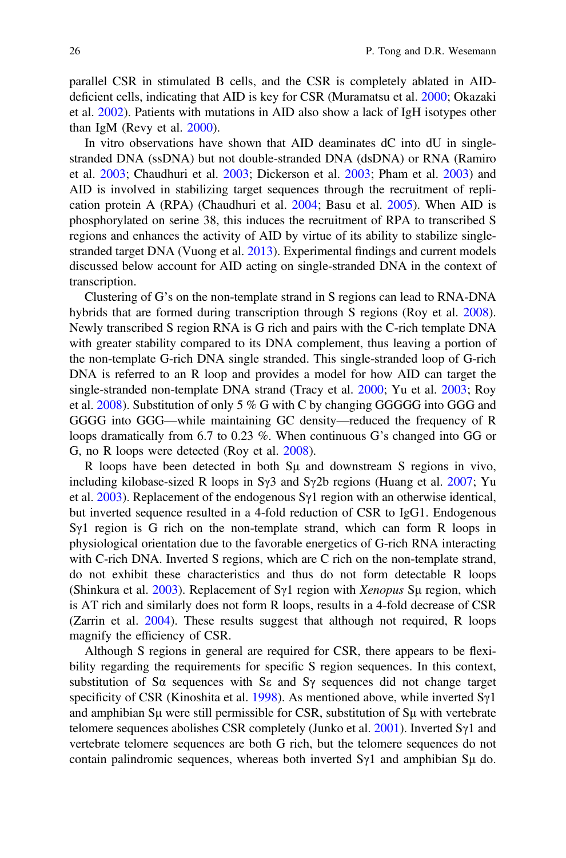parallel CSR in stimulated B cells, and the CSR is completely ablated in AIDdeficient cells, indicating that AID is key for CSR (Muramatsu et al. [2000](#page-13-0); Okazaki et al. [2002](#page-14-0)). Patients with mutations in AID also show a lack of IgH isotypes other than IgM (Revy et al. [2000](#page-14-0)).

In vitro observations have shown that AID deaminates dC into dU in singlestranded DNA (ssDNA) but not double-stranded DNA (dsDNA) or RNA (Ramiro et al. [2003;](#page-14-0) Chaudhuri et al. [2003](#page-11-0); Dickerson et al. [2003;](#page-11-0) Pham et al. [2003](#page-14-0)) and AID is involved in stabilizing target sequences through the recruitment of replication protein A (RPA) (Chaudhuri et al. [2004;](#page-11-0) Basu et al. [2005\)](#page-11-0). When AID is phosphorylated on serine 38, this induces the recruitment of RPA to transcribed S regions and enhances the activity of AID by virtue of its ability to stabilize singlestranded target DNA (Vuong et al. [2013](#page-15-0)). Experimental findings and current models discussed below account for AID acting on single-stranded DNA in the context of transcription.

Clustering of G's on the non-template strand in S regions can lead to RNA-DNA hybrids that are formed during transcription through S regions (Roy et al. [2008\)](#page-14-0). Newly transcribed S region RNA is G rich and pairs with the C-rich template DNA with greater stability compared to its DNA complement, thus leaving a portion of the non-template G-rich DNA single stranded. This single-stranded loop of G-rich DNA is referred to an R loop and provides a model for how AID can target the single-stranded non-template DNA strand (Tracy et al. [2000](#page-15-0); Yu et al. [2003;](#page-15-0) Roy et al. [2008](#page-14-0)). Substitution of only 5 % G with C by changing GGGGG into GGG and GGGG into GGG—while maintaining GC density—reduced the frequency of R loops dramatically from 6.7 to 0.23 %. When continuous G's changed into GG or G, no R loops were detected (Roy et al. [2008](#page-14-0)).

R loops have been detected in both Sμ and downstream S regions in vivo, including kilobase-sized R loops in Sγ3 and Sγ2b regions (Huang et al. [2007](#page-12-0); Yu et al. [2003](#page-15-0)). Replacement of the endogenous Sγ1 region with an otherwise identical, but inverted sequence resulted in a 4-fold reduction of CSR to IgG1. Endogenous Sγ1 region is G rich on the non-template strand, which can form R loops in physiological orientation due to the favorable energetics of G-rich RNA interacting with C-rich DNA. Inverted S regions, which are C rich on the non-template strand, do not exhibit these characteristics and thus do not form detectable R loops (Shinkura et al. [2003](#page-14-0)). Replacement of Sγ1 region with *Xenopus* S<sub>µ</sub> region, which is AT rich and similarly does not form R loops, results in a 4-fold decrease of CSR (Zarrin et al. [2004](#page-15-0)). These results suggest that although not required, R loops magnify the efficiency of CSR.

Although S regions in general are required for CSR, there appears to be flexibility regarding the requirements for specific S region sequences. In this context, substitution of S $\alpha$  sequences with S $\varepsilon$  and S $\gamma$  sequences did not change target specificity of CSR (Kinoshita et al. [1998\)](#page-12-0). As mentioned above, while inverted  $S_{\gamma}1$ and amphibian Sμ were still permissible for CSR, substitution of Sμ with vertebrate telomere sequences abolishes CSR completely (Junko et al. [2001\)](#page-12-0). Inverted Sγ1 and vertebrate telomere sequences are both G rich, but the telomere sequences do not contain palindromic sequences, whereas both inverted Sγ1 and amphibian Sμ do.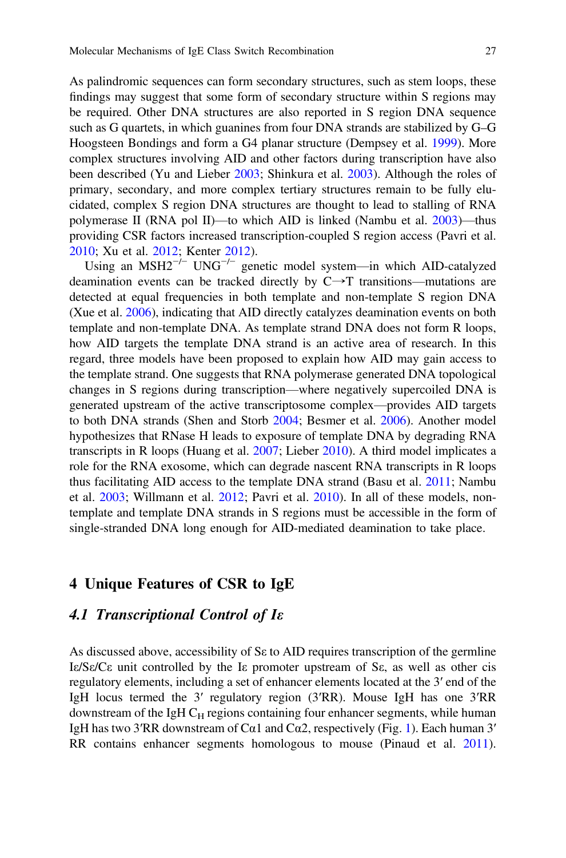<span id="page-6-0"></span>As palindromic sequences can form secondary structures, such as stem loops, these findings may suggest that some form of secondary structure within S regions may be required. Other DNA structures are also reported in S region DNA sequence such as G quartets, in which guanines from four DNA strands are stabilized by G–G Hoogsteen Bondings and form a G4 planar structure (Dempsey et al. [1999](#page-11-0)). More complex structures involving AID and other factors during transcription have also been described (Yu and Lieber [2003;](#page-15-0) Shinkura et al. [2003\)](#page-14-0). Although the roles of primary, secondary, and more complex tertiary structures remain to be fully elucidated, complex S region DNA structures are thought to lead to stalling of RNA polymerase II (RNA pol II)—to which AID is linked (Nambu et al. [2003\)](#page-13-0)—thus providing CSR factors increased transcription-coupled S region access (Pavri et al. [2010;](#page-14-0) Xu et al. [2012;](#page-15-0) Kenter [2012\)](#page-12-0).

Using an MSH2−/<sup>−</sup> UNG−/<sup>−</sup> genetic model system—in which AID-catalyzed deamination events can be tracked directly by  $C \rightarrow T$  transitions—mutations are detected at equal frequencies in both template and non-template S region DNA (Xue et al. [2006\)](#page-15-0), indicating that AID directly catalyzes deamination events on both template and non-template DNA. As template strand DNA does not form R loops, how AID targets the template DNA strand is an active area of research. In this regard, three models have been proposed to explain how AID may gain access to the template strand. One suggests that RNA polymerase generated DNA topological changes in S regions during transcription—where negatively supercoiled DNA is generated upstream of the active transcriptosome complex—provides AID targets to both DNA strands (Shen and Storb [2004](#page-14-0); Besmer et al. [2006\)](#page-11-0). Another model hypothesizes that RNase H leads to exposure of template DNA by degrading RNA transcripts in R loops (Huang et al. [2007;](#page-12-0) Lieber [2010](#page-13-0)). A third model implicates a role for the RNA exosome, which can degrade nascent RNA transcripts in R loops thus facilitating AID access to the template DNA strand (Basu et al. [2011;](#page-11-0) Nambu et al. [2003](#page-13-0); Willmann et al. [2012;](#page-15-0) Pavri et al. [2010\)](#page-14-0). In all of these models, nontemplate and template DNA strands in S regions must be accessible in the form of single-stranded DNA long enough for AID-mediated deamination to take place.

#### 4 Unique Features of CSR to IgE

## 4.1 Transcriptional Control of Iε

As discussed above, accessibility of Sε to AID requires transcription of the germline Iε/Sε/Cε unit controlled by the Iε promoter upstream of Sε, as well as other cis regulatory elements, including a set of enhancer elements located at the 3′ end of the IgH locus termed the 3′ regulatory region (3′RR). Mouse IgH has one 3′RR downstream of the IgH  $C_H$  regions containing four enhancer segments, while human IgH has two 3<sup>'</sup>RR downstream of C $\alpha$ 1 and C $\alpha$ 2, respectively (Fig. [1\)](#page-2-0). Each human 3<sup>'</sup> RR contains enhancer segments homologous to mouse (Pinaud et al. [2011\)](#page-14-0).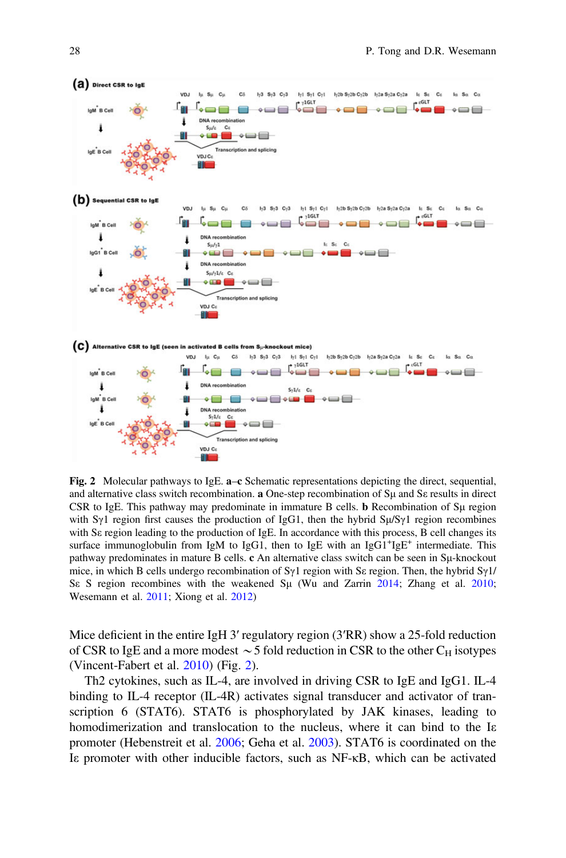

Fig. 2 Molecular pathways to IgE. a–c Schematic representations depicting the direct, sequential, and alternative class switch recombination. a One-step recombination of Sμ and Sε results in direct CSR to IgE. This pathway may predominate in immature B cells. b Recombination of Sμ region with Sγ1 region first causes the production of IgG1, then the hybrid  $S\mu/S\gamma1$  region recombines with Se region leading to the production of IgE. In accordance with this process, B cell changes its surface immunoglobulin from IgM to IgG1, then to IgE with an IgG1<sup>+</sup>IgE<sup>+</sup> intermediate. This pathway predominates in mature B cells. c An alternative class switch can be seen in Sμ-knockout mice, in which B cells undergo recombination of  $S_{\gamma}1$  region with Sε region. Then, the hybrid  $S_{\gamma}1$ / Sε S region recombines with the weakened Sμ (Wu and Zarrin [2014;](#page-15-0) Zhang et al. [2010](#page-16-0); Wesemann et al. [2011;](#page-15-0) Xiong et al. [2012](#page-15-0))

Mice deficient in the entire IgH 3' regulatory region  $(3'RR)$  show a 25-fold reduction of CSR to IgE and a more modest  $\sim$  5 fold reduction in CSR to the other C<sub>H</sub> isotypes (Vincent-Fabert et al. [2010](#page-15-0)) (Fig. 2).

Th2 cytokines, such as IL-4, are involved in driving CSR to IgE and IgG1. IL-4 binding to IL-4 receptor (IL-4R) activates signal transducer and activator of transcription 6 (STAT6). STAT6 is phosphorylated by JAK kinases, leading to homodimerization and translocation to the nucleus, where it can bind to the Iε promoter (Hebenstreit et al. [2006](#page-12-0); Geha et al. [2003\)](#page-12-0). STAT6 is coordinated on the Iε promoter with other inducible factors, such as NF-κB, which can be activated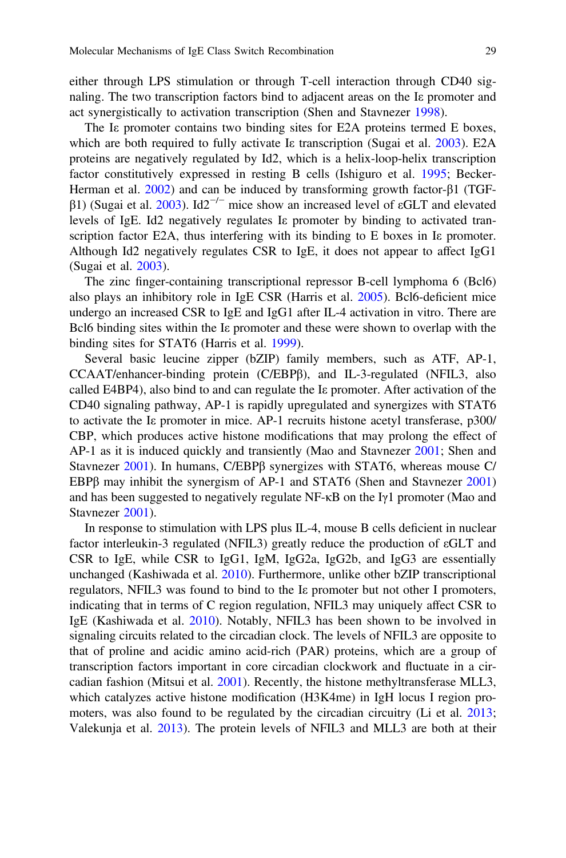either through LPS stimulation or through T-cell interaction through CD40 signaling. The two transcription factors bind to adjacent areas on the Iε promoter and act synergistically to activation transcription (Shen and Stavnezer [1998](#page-14-0)).

The Is promoter contains two binding sites for E2A proteins termed E boxes, which are both required to fully activate Iε transcription (Sugai et al. [2003](#page-14-0)). E2A proteins are negatively regulated by Id2, which is a helix-loop-helix transcription factor constitutively expressed in resting B cells (Ishiguro et al. [1995](#page-12-0); Becker-Herman et al. [2002](#page-11-0)) and can be induced by transforming growth factor-β1 (TGF-β1) (Sugai et al. [2003](#page-14-0)). Id2<sup>-/-</sup> mice show an increased level of  $\epsilon$ GLT and elevated levels of IgE. Id2 negatively regulates Iε promoter by binding to activated transcription factor E2A, thus interfering with its binding to E boxes in Iε promoter. Although Id2 negatively regulates CSR to IgE, it does not appear to affect IgG1 (Sugai et al. [2003](#page-14-0)).

The zinc finger-containing transcriptional repressor B-cell lymphoma 6 (Bcl6) also plays an inhibitory role in IgE CSR (Harris et al. [2005\)](#page-12-0). Bcl6-deficient mice undergo an increased CSR to IgE and IgG1 after IL-4 activation in vitro. There are Bcl6 binding sites within the Iε promoter and these were shown to overlap with the binding sites for STAT6 (Harris et al. [1999](#page-12-0)).

Several basic leucine zipper (bZIP) family members, such as ATF, AP-1, CCAAT/enhancer-binding protein (C/EBPβ), and IL-3-regulated (NFIL3, also called E4BP4), also bind to and can regulate the Iε promoter. After activation of the CD40 signaling pathway, AP-1 is rapidly upregulated and synergizes with STAT6 to activate the Iε promoter in mice. AP-1 recruits histone acetyl transferase, p300/ CBP, which produces active histone modifications that may prolong the effect of AP-1 as it is induced quickly and transiently (Mao and Stavnezer [2001](#page-13-0); Shen and Stavnezer [2001](#page-14-0)). In humans, C/EBPβ synergizes with STAT6, whereas mouse C/ EBPβ may inhibit the synergism of AP-1 and STAT6 (Shen and Stavnezer [2001](#page-14-0)) and has been suggested to negatively regulate NF- $\kappa$ B on the I<sub>Y</sub>1 promoter (Mao and Stavnezer [2001](#page-13-0)).

In response to stimulation with LPS plus IL-4, mouse B cells deficient in nuclear factor interleukin-3 regulated (NFIL3) greatly reduce the production of εGLT and CSR to IgE, while CSR to IgG1, IgM, IgG2a, IgG2b, and IgG3 are essentially unchanged (Kashiwada et al. [2010](#page-12-0)). Furthermore, unlike other bZIP transcriptional regulators, NFIL3 was found to bind to the Iε promoter but not other I promoters, indicating that in terms of C region regulation, NFIL3 may uniquely affect CSR to IgE (Kashiwada et al. [2010](#page-12-0)). Notably, NFIL3 has been shown to be involved in signaling circuits related to the circadian clock. The levels of NFIL3 are opposite to that of proline and acidic amino acid-rich (PAR) proteins, which are a group of transcription factors important in core circadian clockwork and fluctuate in a circadian fashion (Mitsui et al. [2001\)](#page-13-0). Recently, the histone methyltransferase MLL3, which catalyzes active histone modification (H3K4me) in IgH locus I region promoters, was also found to be regulated by the circadian circuitry (Li et al. [2013;](#page-12-0) Valekunja et al. [2013](#page-15-0)). The protein levels of NFIL3 and MLL3 are both at their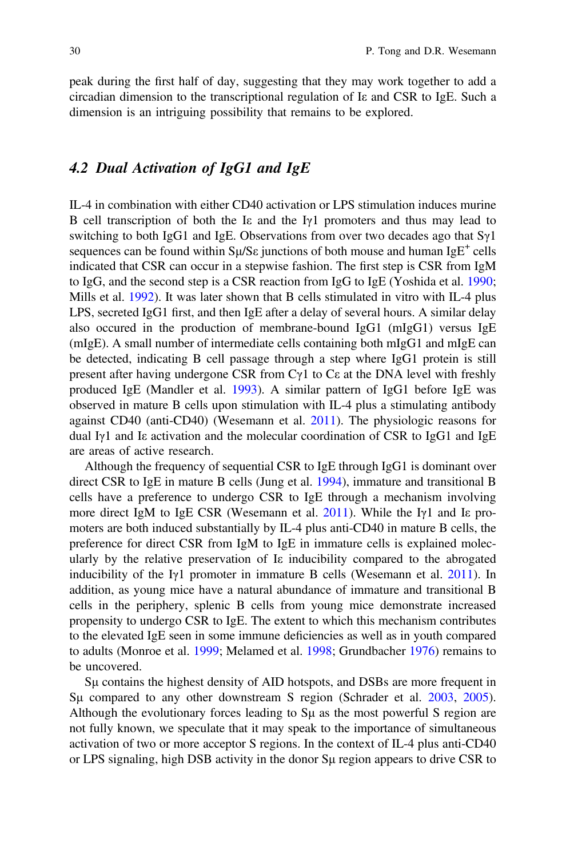<span id="page-9-0"></span>peak during the first half of day, suggesting that they may work together to add a circadian dimension to the transcriptional regulation of Iε and CSR to IgE. Such a dimension is an intriguing possibility that remains to be explored.

# 4.2 Dual Activation of IgG1 and IgE

IL-4 in combination with either CD40 activation or LPS stimulation induces murine B cell transcription of both the I<sub>E</sub> and the I<sub>Y</sub>1 promoters and thus may lead to switching to both IgG1 and IgE. Observations from over two decades ago that  $S_{\gamma}1$ sequences can be found within  $S\mu/SE$  junctions of both mouse and human IgE<sup>+</sup> cells indicated that CSR can occur in a stepwise fashion. The first step is CSR from IgM to IgG, and the second step is a CSR reaction from IgG to IgE (Yoshida et al. [1990;](#page-15-0) Mills et al. [1992\)](#page-13-0). It was later shown that B cells stimulated in vitro with IL-4 plus LPS, secreted IgG1 first, and then IgE after a delay of several hours. A similar delay also occured in the production of membrane-bound IgG1 (mIgG1) versus IgE (mIgE). A small number of intermediate cells containing both mIgG1 and mIgE can be detected, indicating B cell passage through a step where IgG1 protein is still present after having undergone CSR from Cγ1 to Cε at the DNA level with freshly produced IgE (Mandler et al. [1993\)](#page-13-0). A similar pattern of IgG1 before IgE was observed in mature B cells upon stimulation with IL-4 plus a stimulating antibody against CD40 (anti-CD40) (Wesemann et al. [2011](#page-15-0)). The physiologic reasons for dual Iγ1 and Iε activation and the molecular coordination of CSR to IgG1 and IgE are areas of active research.

Although the frequency of sequential CSR to IgE through IgG1 is dominant over direct CSR to IgE in mature B cells (Jung et al. [1994\)](#page-12-0), immature and transitional B cells have a preference to undergo CSR to IgE through a mechanism involving more direct IgM to IgE CSR (Wesemann et al. [2011\)](#page-15-0). While the I<sub>Y</sub>1 and Is promoters are both induced substantially by IL-4 plus anti-CD40 in mature B cells, the preference for direct CSR from IgM to IgE in immature cells is explained molecularly by the relative preservation of Iε inducibility compared to the abrogated inducibility of the Iγ1 promoter in immature B cells (Wesemann et al. [2011\)](#page-15-0). In addition, as young mice have a natural abundance of immature and transitional B cells in the periphery, splenic B cells from young mice demonstrate increased propensity to undergo CSR to IgE. The extent to which this mechanism contributes to the elevated IgE seen in some immune deficiencies as well as in youth compared to adults (Monroe et al. [1999](#page-13-0); Melamed et al. [1998;](#page-13-0) Grundbacher [1976\)](#page-12-0) remains to be uncovered.

Sμ contains the highest density of AID hotspots, and DSBs are more frequent in Sμ compared to any other downstream S region (Schrader et al. [2003,](#page-14-0) [2005\)](#page-14-0). Although the evolutionary forces leading to Sμ as the most powerful S region are not fully known, we speculate that it may speak to the importance of simultaneous activation of two or more acceptor S regions. In the context of IL-4 plus anti-CD40 or LPS signaling, high DSB activity in the donor Sμ region appears to drive CSR to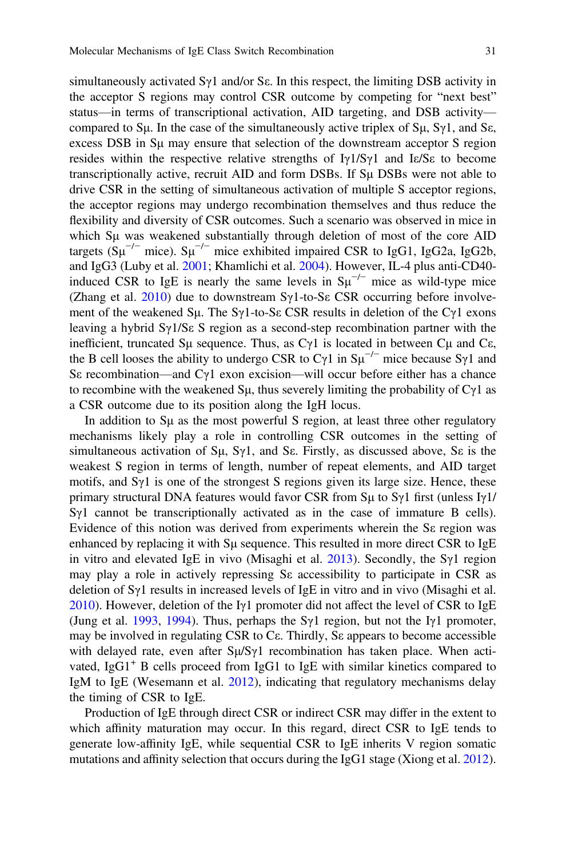simultaneously activated  $S_{\gamma}1$  and/or S $\varepsilon$ . In this respect, the limiting DSB activity in the acceptor S regions may control CSR outcome by competing for "next best" status—in terms of transcriptional activation, AID targeting, and DSB activity compared to S<sub>μ</sub>. In the case of the simultaneously active triplex of S<sub>μ</sub>, S<sub>γ</sub>1, and S<sub>ε</sub>, excess DSB in Sμ may ensure that selection of the downstream acceptor S region resides within the respective relative strengths of  $Iy1/Sy1$  and  $I\epsilon/Se$  to become transcriptionally active, recruit AID and form DSBs. If Sμ DSBs were not able to drive CSR in the setting of simultaneous activation of multiple S acceptor regions, the acceptor regions may undergo recombination themselves and thus reduce the flexibility and diversity of CSR outcomes. Such a scenario was observed in mice in which Sμ was weakened substantially through deletion of most of the core AID targets ( $Su^{-/-}$  mice).  $Su^{-/-}$  mice exhibited impaired CSR to IgG1, IgG2a, IgG2b, and IgG3 (Luby et al. [2001;](#page-13-0) Khamlichi et al. [2004](#page-12-0)). However, IL-4 plus anti-CD40 induced CSR to IgE is nearly the same levels in  $Su^{-/-}$  mice as wild-type mice (Zhang et al.  $2010$ ) due to downstream Sγ1-to-Sε CSR occurring before involvement of the weakened Sμ. The Sγ1-to-Sε CSR results in deletion of the Cγ1 exons leaving a hybrid Sγ1/Sε S region as a second-step recombination partner with the inefficient, truncated S<sub>u</sub> sequence. Thus, as C $\gamma$ 1 is located in between C<sub>u</sub> and C $\varepsilon$ , the B cell looses the ability to undergo CSR to Cγ1 in  $Su^{-/-}$  mice because Sγ1 and Sε recombination—and Cγ1 exon excision—will occur before either has a chance to recombine with the weakened S<sub>μ</sub>, thus severely limiting the probability of C $\gamma$ 1 as a CSR outcome due to its position along the IgH locus.

In addition to Sμ as the most powerful S region, at least three other regulatory mechanisms likely play a role in controlling CSR outcomes in the setting of simultaneous activation of Sμ, Sγ1, and Sε. Firstly, as discussed above, Sε is the weakest S region in terms of length, number of repeat elements, and AID target motifs, and Sγ1 is one of the strongest S regions given its large size. Hence, these primary structural DNA features would favor CSR from  $\text{Su}$  to  $\text{Syl}$  first (unless Iy1/ Sγ1 cannot be transcriptionally activated as in the case of immature B cells). Evidence of this notion was derived from experiments wherein the Sε region was enhanced by replacing it with  $S_{\mu}$  sequence. This resulted in more direct CSR to IgE in vitro and elevated IgE in vivo (Misaghi et al. [2013](#page-13-0)). Secondly, the  $S_{\gamma}1$  region may play a role in actively repressing Sε accessibility to participate in CSR as deletion of  $S\gamma$ 1 results in increased levels of IgE in vitro and in vivo (Misaghi et al. [2010\)](#page-13-0). However, deletion of the Iγ1 promoter did not affect the level of CSR to IgE (Jung et al. [1993,](#page-12-0) [1994\)](#page-12-0). Thus, perhaps the S<sub>γ</sub>1 region, but not the I<sub>γ</sub>1 promoter, may be involved in regulating CSR to Cε. Thirdly, Sε appears to become accessible with delayed rate, even after  $S\mu/S\gamma1$  recombination has taken place. When activated,  $I_{\text{g}}\text{G}1^{+}$  B cells proceed from IgG1 to IgE with similar kinetics compared to IgM to IgE (Wesemann et al. [2012](#page-15-0)), indicating that regulatory mechanisms delay the timing of CSR to IgE.

Production of IgE through direct CSR or indirect CSR may differ in the extent to which affinity maturation may occur. In this regard, direct CSR to IgE tends to generate low-affinity IgE, while sequential CSR to IgE inherits V region somatic mutations and affinity selection that occurs during the IgG1 stage (Xiong et al. [2012\)](#page-15-0).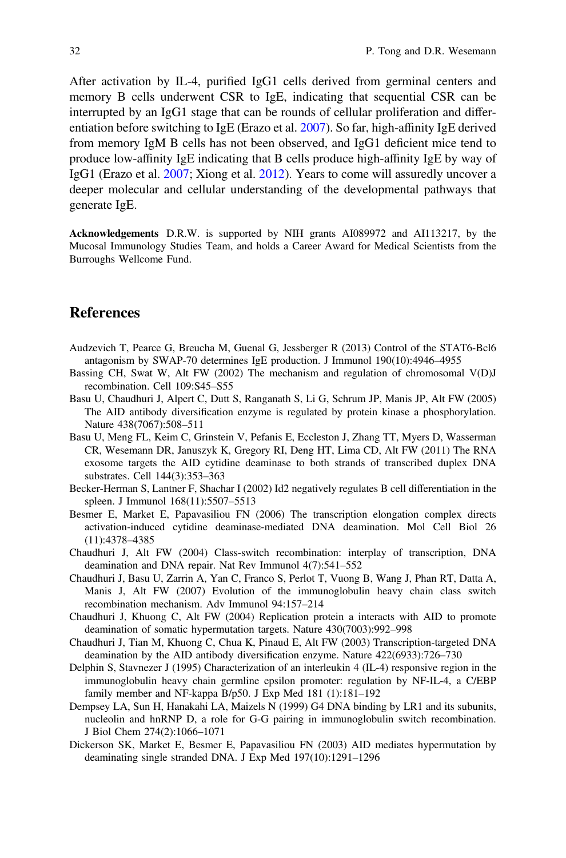<span id="page-11-0"></span>After activation by IL-4, purified IgG1 cells derived from germinal centers and memory B cells underwent CSR to IgE, indicating that sequential CSR can be interrupted by an IgG1 stage that can be rounds of cellular proliferation and differentiation before switching to IgE (Erazo et al. [2007](#page-12-0)). So far, high-affinity IgE derived from memory IgM B cells has not been observed, and IgG1 deficient mice tend to produce low-affinity IgE indicating that B cells produce high-affinity IgE by way of IgG1 (Erazo et al. [2007](#page-12-0); Xiong et al. [2012](#page-15-0)). Years to come will assuredly uncover a deeper molecular and cellular understanding of the developmental pathways that generate IgE.

Acknowledgements D.R.W. is supported by NIH grants AI089972 and AI113217, by the Mucosal Immunology Studies Team, and holds a Career Award for Medical Scientists from the Burroughs Wellcome Fund.

## References

- Audzevich T, Pearce G, Breucha M, Guenal G, Jessberger R (2013) Control of the STAT6-Bcl6 antagonism by SWAP-70 determines IgE production. J Immunol 190(10):4946–4955
- Bassing CH, Swat W, Alt FW (2002) The mechanism and regulation of chromosomal V(D)J recombination. Cell 109:S45–S55
- Basu U, Chaudhuri J, Alpert C, Dutt S, Ranganath S, Li G, Schrum JP, Manis JP, Alt FW (2005) The AID antibody diversification enzyme is regulated by protein kinase a phosphorylation. Nature 438(7067):508–511
- Basu U, Meng FL, Keim C, Grinstein V, Pefanis E, Eccleston J, Zhang TT, Myers D, Wasserman CR, Wesemann DR, Januszyk K, Gregory RI, Deng HT, Lima CD, Alt FW (2011) The RNA exosome targets the AID cytidine deaminase to both strands of transcribed duplex DNA substrates. Cell 144(3):353–363
- Becker-Herman S, Lantner F, Shachar I (2002) Id2 negatively regulates B cell differentiation in the spleen. J Immunol 168(11):5507–5513
- Besmer E, Market E, Papavasiliou FN (2006) The transcription elongation complex directs activation-induced cytidine deaminase-mediated DNA deamination. Mol Cell Biol 26 (11):4378–4385
- Chaudhuri J, Alt FW (2004) Class-switch recombination: interplay of transcription, DNA deamination and DNA repair. Nat Rev Immunol 4(7):541–552
- Chaudhuri J, Basu U, Zarrin A, Yan C, Franco S, Perlot T, Vuong B, Wang J, Phan RT, Datta A, Manis J, Alt FW (2007) Evolution of the immunoglobulin heavy chain class switch recombination mechanism. Adv Immunol 94:157–214
- Chaudhuri J, Khuong C, Alt FW (2004) Replication protein a interacts with AID to promote deamination of somatic hypermutation targets. Nature 430(7003):992–998
- Chaudhuri J, Tian M, Khuong C, Chua K, Pinaud E, Alt FW (2003) Transcription-targeted DNA deamination by the AID antibody diversification enzyme. Nature 422(6933):726–730
- Delphin S, Stavnezer J (1995) Characterization of an interleukin 4 (IL-4) responsive region in the immunoglobulin heavy chain germline epsilon promoter: regulation by NF-IL-4, a C/EBP family member and NF-kappa B/p50. J Exp Med 181 (1):181-192
- Dempsey LA, Sun H, Hanakahi LA, Maizels N (1999) G4 DNA binding by LR1 and its subunits, nucleolin and hnRNP D, a role for G-G pairing in immunoglobulin switch recombination. J Biol Chem 274(2):1066–1071
- Dickerson SK, Market E, Besmer E, Papavasiliou FN (2003) AID mediates hypermutation by deaminating single stranded DNA. J Exp Med 197(10):1291–1296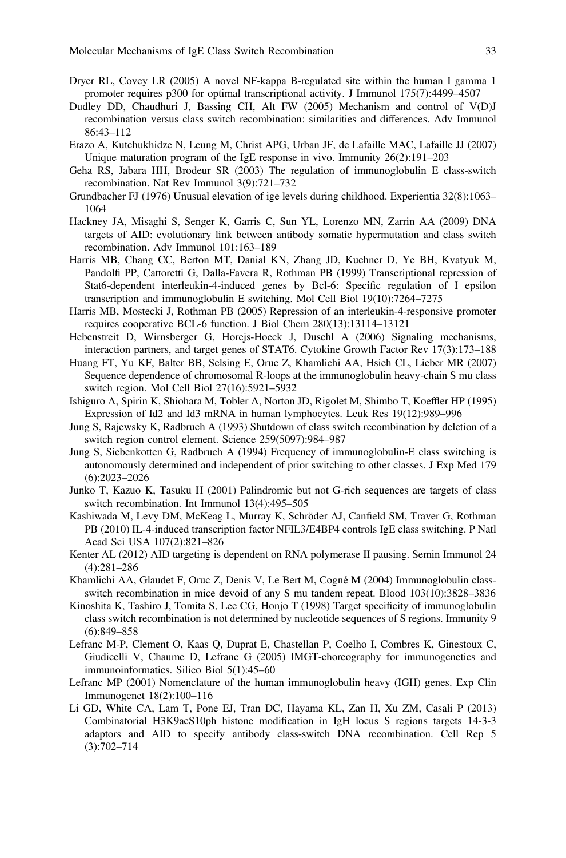- <span id="page-12-0"></span>Dryer RL, Covey LR (2005) A novel NF-kappa B-regulated site within the human I gamma 1 promoter requires p300 for optimal transcriptional activity. J Immunol 175(7):4499–4507
- Dudley DD, Chaudhuri J, Bassing CH, Alt FW (2005) Mechanism and control of V(D)J recombination versus class switch recombination: similarities and differences. Adv Immunol 86:43–112
- Erazo A, Kutchukhidze N, Leung M, Christ APG, Urban JF, de Lafaille MAC, Lafaille JJ (2007) Unique maturation program of the IgE response in vivo. Immunity 26(2):191–203
- Geha RS, Jabara HH, Brodeur SR (2003) The regulation of immunoglobulin E class-switch recombination. Nat Rev Immunol 3(9):721–732
- Grundbacher FJ (1976) Unusual elevation of ige levels during childhood. Experientia 32(8):1063– 1064
- Hackney JA, Misaghi S, Senger K, Garris C, Sun YL, Lorenzo MN, Zarrin AA (2009) DNA targets of AID: evolutionary link between antibody somatic hypermutation and class switch recombination. Adv Immunol 101:163–189
- Harris MB, Chang CC, Berton MT, Danial KN, Zhang JD, Kuehner D, Ye BH, Kvatyuk M, Pandolfi PP, Cattoretti G, Dalla-Favera R, Rothman PB (1999) Transcriptional repression of Stat6-dependent interleukin-4-induced genes by Bcl-6: Specific regulation of I epsilon transcription and immunoglobulin E switching. Mol Cell Biol 19(10):7264–7275
- Harris MB, Mostecki J, Rothman PB (2005) Repression of an interleukin-4-responsive promoter requires cooperative BCL-6 function. J Biol Chem 280(13):13114–13121
- Hebenstreit D, Wirnsberger G, Horejs-Hoeck J, Duschl A (2006) Signaling mechanisms, interaction partners, and target genes of STAT6. Cytokine Growth Factor Rev 17(3):173–188
- Huang FT, Yu KF, Balter BB, Selsing E, Oruc Z, Khamlichi AA, Hsieh CL, Lieber MR (2007) Sequence dependence of chromosomal R-loops at the immunoglobulin heavy-chain S mu class switch region. Mol Cell Biol 27(16):5921–5932
- Ishiguro A, Spirin K, Shiohara M, Tobler A, Norton JD, Rigolet M, Shimbo T, Koeffler HP (1995) Expression of Id2 and Id3 mRNA in human lymphocytes. Leuk Res 19(12):989–996
- Jung S, Rajewsky K, Radbruch A (1993) Shutdown of class switch recombination by deletion of a switch region control element. Science 259(5097):984–987
- Jung S, Siebenkotten G, Radbruch A (1994) Frequency of immunoglobulin-E class switching is autonomously determined and independent of prior switching to other classes. J Exp Med 179 (6):2023–2026
- Junko T, Kazuo K, Tasuku H (2001) Palindromic but not G-rich sequences are targets of class switch recombination. Int Immunol 13(4):495–505
- Kashiwada M, Levy DM, McKeag L, Murray K, Schröder AJ, Canfield SM, Traver G, Rothman PB (2010) IL-4-induced transcription factor NFIL3/E4BP4 controls IgE class switching. P Natl Acad Sci USA 107(2):821–826
- Kenter AL (2012) AID targeting is dependent on RNA polymerase II pausing. Semin Immunol 24 (4):281–286
- Khamlichi AA, Glaudet F, Oruc Z, Denis V, Le Bert M, Cogné M (2004) Immunoglobulin classswitch recombination in mice devoid of any S mu tandem repeat. Blood 103(10):3828–3836
- Kinoshita K, Tashiro J, Tomita S, Lee CG, Honjo T (1998) Target specificity of immunoglobulin class switch recombination is not determined by nucleotide sequences of S regions. Immunity 9 (6):849–858
- Lefranc M-P, Clement O, Kaas Q, Duprat E, Chastellan P, Coelho I, Combres K, Ginestoux C, Giudicelli V, Chaume D, Lefranc G (2005) IMGT-choreography for immunogenetics and immunoinformatics. Silico Biol 5(1):45–60
- Lefranc MP (2001) Nomenclature of the human immunoglobulin heavy (IGH) genes. Exp Clin Immunogenet 18(2):100–116
- Li GD, White CA, Lam T, Pone EJ, Tran DC, Hayama KL, Zan H, Xu ZM, Casali P (2013) Combinatorial H3K9acS10ph histone modification in IgH locus S regions targets 14-3-3 adaptors and AID to specify antibody class-switch DNA recombination. Cell Rep 5 (3):702–714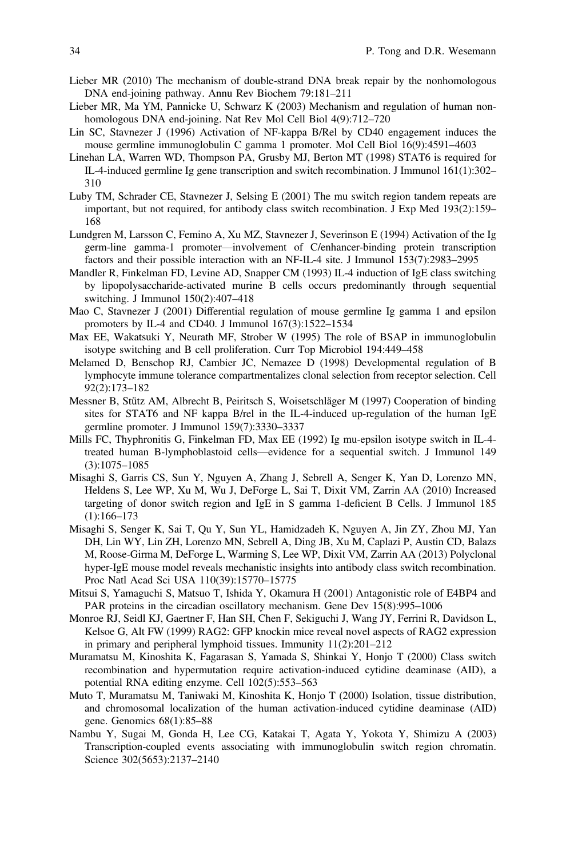- <span id="page-13-0"></span>Lieber MR (2010) The mechanism of double-strand DNA break repair by the nonhomologous DNA end-joining pathway. Annu Rev Biochem 79:181–211
- Lieber MR, Ma YM, Pannicke U, Schwarz K (2003) Mechanism and regulation of human nonhomologous DNA end-joining. Nat Rev Mol Cell Biol 4(9):712–720
- Lin SC, Stavnezer J (1996) Activation of NF-kappa B/Rel by CD40 engagement induces the mouse germline immunoglobulin C gamma 1 promoter. Mol Cell Biol 16(9):4591–4603
- Linehan LA, Warren WD, Thompson PA, Grusby MJ, Berton MT (1998) STAT6 is required for IL-4-induced germline Ig gene transcription and switch recombination. J Immunol 161(1):302– 310
- Luby TM, Schrader CE, Stavnezer J, Selsing E (2001) The mu switch region tandem repeats are important, but not required, for antibody class switch recombination. J Exp Med 193(2):159– 168
- Lundgren M, Larsson C, Femino A, Xu MZ, Stavnezer J, Severinson E (1994) Activation of the Ig germ-line gamma-1 promoter—involvement of C/enhancer-binding protein transcription factors and their possible interaction with an NF-IL-4 site. J Immunol 153(7):2983–2995
- Mandler R, Finkelman FD, Levine AD, Snapper CM (1993) IL-4 induction of IgE class switching by lipopolysaccharide-activated murine B cells occurs predominantly through sequential switching. J Immunol 150(2):407–418
- Mao C, Stavnezer J (2001) Differential regulation of mouse germline Ig gamma 1 and epsilon promoters by IL-4 and CD40. J Immunol 167(3):1522–1534
- Max EE, Wakatsuki Y, Neurath MF, Strober W (1995) The role of BSAP in immunoglobulin isotype switching and B cell proliferation. Curr Top Microbiol 194:449–458
- Melamed D, Benschop RJ, Cambier JC, Nemazee D (1998) Developmental regulation of B lymphocyte immune tolerance compartmentalizes clonal selection from receptor selection. Cell 92(2):173–182
- Messner B, Stütz AM, Albrecht B, Peiritsch S, Woisetschläger M (1997) Cooperation of binding sites for STAT6 and NF kappa B/rel in the IL-4-induced up-regulation of the human IgE germline promoter. J Immunol 159(7):3330–3337
- Mills FC, Thyphronitis G, Finkelman FD, Max EE (1992) Ig mu-epsilon isotype switch in IL-4 treated human B-lymphoblastoid cells—evidence for a sequential switch. J Immunol 149 (3):1075–1085
- Misaghi S, Garris CS, Sun Y, Nguyen A, Zhang J, Sebrell A, Senger K, Yan D, Lorenzo MN, Heldens S, Lee WP, Xu M, Wu J, DeForge L, Sai T, Dixit VM, Zarrin AA (2010) Increased targeting of donor switch region and IgE in S gamma 1-deficient B Cells. J Immunol 185 (1):166–173
- Misaghi S, Senger K, Sai T, Qu Y, Sun YL, Hamidzadeh K, Nguyen A, Jin ZY, Zhou MJ, Yan DH, Lin WY, Lin ZH, Lorenzo MN, Sebrell A, Ding JB, Xu M, Caplazi P, Austin CD, Balazs M, Roose-Girma M, DeForge L, Warming S, Lee WP, Dixit VM, Zarrin AA (2013) Polyclonal hyper-IgE mouse model reveals mechanistic insights into antibody class switch recombination. Proc Natl Acad Sci USA 110(39):15770–15775
- Mitsui S, Yamaguchi S, Matsuo T, Ishida Y, Okamura H (2001) Antagonistic role of E4BP4 and PAR proteins in the circadian oscillatory mechanism. Gene Dev 15(8):995–1006
- Monroe RJ, Seidl KJ, Gaertner F, Han SH, Chen F, Sekiguchi J, Wang JY, Ferrini R, Davidson L, Kelsoe G, Alt FW (1999) RAG2: GFP knockin mice reveal novel aspects of RAG2 expression in primary and peripheral lymphoid tissues. Immunity 11(2):201–212
- Muramatsu M, Kinoshita K, Fagarasan S, Yamada S, Shinkai Y, Honjo T (2000) Class switch recombination and hypermutation require activation-induced cytidine deaminase (AID), a potential RNA editing enzyme. Cell 102(5):553–563
- Muto T, Muramatsu M, Taniwaki M, Kinoshita K, Honjo T (2000) Isolation, tissue distribution, and chromosomal localization of the human activation-induced cytidine deaminase (AID) gene. Genomics 68(1):85–88
- Nambu Y, Sugai M, Gonda H, Lee CG, Katakai T, Agata Y, Yokota Y, Shimizu A (2003) Transcription-coupled events associating with immunoglobulin switch region chromatin. Science 302(5653):2137–2140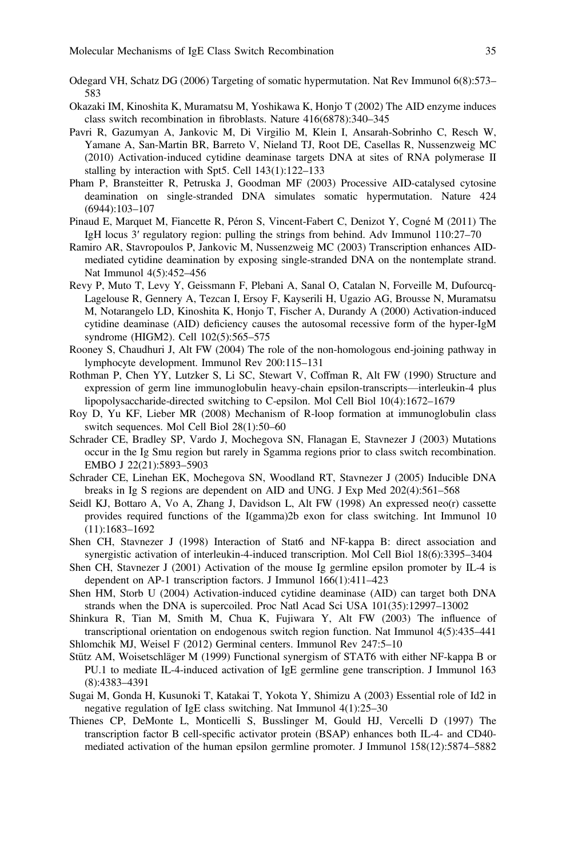- <span id="page-14-0"></span>Odegard VH, Schatz DG (2006) Targeting of somatic hypermutation. Nat Rev Immunol 6(8):573– 583
- Okazaki IM, Kinoshita K, Muramatsu M, Yoshikawa K, Honjo T (2002) The AID enzyme induces class switch recombination in fibroblasts. Nature 416(6878):340–345
- Pavri R, Gazumyan A, Jankovic M, Di Virgilio M, Klein I, Ansarah-Sobrinho C, Resch W, Yamane A, San-Martin BR, Barreto V, Nieland TJ, Root DE, Casellas R, Nussenzweig MC (2010) Activation-induced cytidine deaminase targets DNA at sites of RNA polymerase II stalling by interaction with Spt5. Cell 143(1):122–133
- Pham P, Bransteitter R, Petruska J, Goodman MF (2003) Processive AID-catalysed cytosine deamination on single-stranded DNA simulates somatic hypermutation. Nature 424 (6944):103–107
- Pinaud E, Marquet M, Fiancette R, Péron S, Vincent-Fabert C, Denizot Y, Cogné M (2011) The IgH locus 3′ regulatory region: pulling the strings from behind. Adv Immunol 110:27–70
- Ramiro AR, Stavropoulos P, Jankovic M, Nussenzweig MC (2003) Transcription enhances AIDmediated cytidine deamination by exposing single-stranded DNA on the nontemplate strand. Nat Immunol 4(5):452–456
- Revy P, Muto T, Levy Y, Geissmann F, Plebani A, Sanal O, Catalan N, Forveille M, Dufourcq-Lagelouse R, Gennery A, Tezcan I, Ersoy F, Kayserili H, Ugazio AG, Brousse N, Muramatsu M, Notarangelo LD, Kinoshita K, Honjo T, Fischer A, Durandy A (2000) Activation-induced cytidine deaminase (AID) deficiency causes the autosomal recessive form of the hyper-IgM syndrome (HIGM2). Cell 102(5):565–575
- Rooney S, Chaudhuri J, Alt FW (2004) The role of the non-homologous end-joining pathway in lymphocyte development. Immunol Rev 200:115–131
- Rothman P, Chen YY, Lutzker S, Li SC, Stewart V, Coffman R, Alt FW (1990) Structure and expression of germ line immunoglobulin heavy-chain epsilon-transcripts—interleukin-4 plus lipopolysaccharide-directed switching to C-epsilon. Mol Cell Biol 10(4):1672–1679
- Roy D, Yu KF, Lieber MR (2008) Mechanism of R-loop formation at immunoglobulin class switch sequences. Mol Cell Biol 28(1):50–60
- Schrader CE, Bradley SP, Vardo J, Mochegova SN, Flanagan E, Stavnezer J (2003) Mutations occur in the Ig Smu region but rarely in Sgamma regions prior to class switch recombination. EMBO J 22(21):5893–5903
- Schrader CE, Linehan EK, Mochegova SN, Woodland RT, Stavnezer J (2005) Inducible DNA breaks in Ig S regions are dependent on AID and UNG. J Exp Med 202(4):561–568
- Seidl KJ, Bottaro A, Vo A, Zhang J, Davidson L, Alt FW (1998) An expressed neo(r) cassette provides required functions of the I(gamma)2b exon for class switching. Int Immunol 10 (11):1683–1692
- Shen CH, Stavnezer J (1998) Interaction of Stat6 and NF-kappa B: direct association and synergistic activation of interleukin-4-induced transcription. Mol Cell Biol 18(6):3395–3404
- Shen CH, Stavnezer J (2001) Activation of the mouse Ig germline epsilon promoter by IL-4 is dependent on AP-1 transcription factors. J Immunol 166(1):411–423
- Shen HM, Storb U (2004) Activation-induced cytidine deaminase (AID) can target both DNA strands when the DNA is supercoiled. Proc Natl Acad Sci USA 101(35):12997–13002
- Shinkura R, Tian M, Smith M, Chua K, Fujiwara Y, Alt FW (2003) The influence of transcriptional orientation on endogenous switch region function. Nat Immunol 4(5):435–441 Shlomchik MJ, Weisel F (2012) Germinal centers. Immunol Rev 247:5–10
- Stütz AM, Woisetschläger M (1999) Functional synergism of STAT6 with either NF-kappa B or PU.1 to mediate IL-4-induced activation of IgE germline gene transcription. J Immunol 163 (8):4383–4391
- Sugai M, Gonda H, Kusunoki T, Katakai T, Yokota Y, Shimizu A (2003) Essential role of Id2 in negative regulation of IgE class switching. Nat Immunol 4(1):25–30
- Thienes CP, DeMonte L, Monticelli S, Busslinger M, Gould HJ, Vercelli D (1997) The transcription factor B cell-specific activator protein (BSAP) enhances both IL-4- and CD40 mediated activation of the human epsilon germline promoter. J Immunol 158(12):5874–5882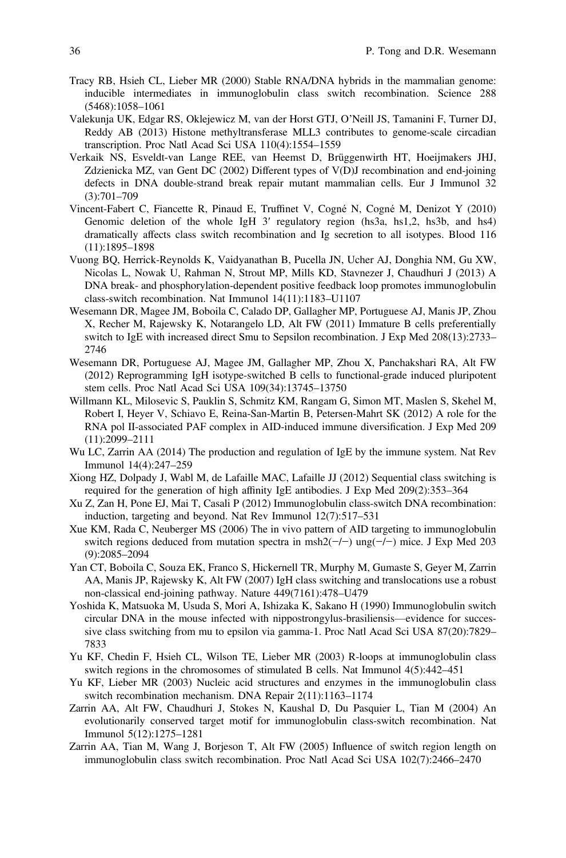- <span id="page-15-0"></span>Tracy RB, Hsieh CL, Lieber MR (2000) Stable RNA/DNA hybrids in the mammalian genome: inducible intermediates in immunoglobulin class switch recombination. Science 288 (5468):1058–1061
- Valekunja UK, Edgar RS, Oklejewicz M, van der Horst GTJ, O'Neill JS, Tamanini F, Turner DJ, Reddy AB (2013) Histone methyltransferase MLL3 contributes to genome-scale circadian transcription. Proc Natl Acad Sci USA 110(4):1554–1559
- Verkaik NS, Esveldt-van Lange REE, van Heemst D, Brüggenwirth HT, Hoeijmakers JHJ, Zdzienicka MZ, van Gent DC (2002) Different types of V(D)J recombination and end-joining defects in DNA double-strand break repair mutant mammalian cells. Eur J Immunol 32 (3):701–709
- Vincent-Fabert C, Fiancette R, Pinaud E, Truffinet V, Cogné N, Cogné M, Denizot Y (2010) Genomic deletion of the whole IgH 3′ regulatory region (hs3a, hs1,2, hs3b, and hs4) dramatically affects class switch recombination and Ig secretion to all isotypes. Blood 116 (11):1895–1898
- Vuong BQ, Herrick-Reynolds K, Vaidyanathan B, Pucella JN, Ucher AJ, Donghia NM, Gu XW, Nicolas L, Nowak U, Rahman N, Strout MP, Mills KD, Stavnezer J, Chaudhuri J (2013) A DNA break- and phosphorylation-dependent positive feedback loop promotes immunoglobulin class-switch recombination. Nat Immunol 14(11):1183–U1107
- Wesemann DR, Magee JM, Boboila C, Calado DP, Gallagher MP, Portuguese AJ, Manis JP, Zhou X, Recher M, Rajewsky K, Notarangelo LD, Alt FW (2011) Immature B cells preferentially switch to IgE with increased direct Smu to Sepsilon recombination. J Exp Med 208(13):2733– 2746
- Wesemann DR, Portuguese AJ, Magee JM, Gallagher MP, Zhou X, Panchakshari RA, Alt FW (2012) Reprogramming IgH isotype-switched B cells to functional-grade induced pluripotent stem cells. Proc Natl Acad Sci USA 109(34):13745–13750
- Willmann KL, Milosevic S, Pauklin S, Schmitz KM, Rangam G, Simon MT, Maslen S, Skehel M, Robert I, Heyer V, Schiavo E, Reina-San-Martin B, Petersen-Mahrt SK (2012) A role for the RNA pol II-associated PAF complex in AID-induced immune diversification. J Exp Med 209 (11):2099–2111
- Wu LC, Zarrin AA (2014) The production and regulation of IgE by the immune system. Nat Rev Immunol 14(4):247–259
- Xiong HZ, Dolpady J, Wabl M, de Lafaille MAC, Lafaille JJ (2012) Sequential class switching is required for the generation of high affinity IgE antibodies. J Exp Med 209(2):353–364
- Xu Z, Zan H, Pone EJ, Mai T, Casali P (2012) Immunoglobulin class-switch DNA recombination: induction, targeting and beyond. Nat Rev Immunol 12(7):517–531
- Xue KM, Rada C, Neuberger MS (2006) The in vivo pattern of AID targeting to immunoglobulin switch regions deduced from mutation spectra in msh2( $-/-$ ) ung( $-/-$ ) mice. J Exp Med 203 (9):2085–2094
- Yan CT, Boboila C, Souza EK, Franco S, Hickernell TR, Murphy M, Gumaste S, Geyer M, Zarrin AA, Manis JP, Rajewsky K, Alt FW (2007) IgH class switching and translocations use a robust non-classical end-joining pathway. Nature 449(7161):478–U479
- Yoshida K, Matsuoka M, Usuda S, Mori A, Ishizaka K, Sakano H (1990) Immunoglobulin switch circular DNA in the mouse infected with nippostrongylus-brasiliensis—evidence for successive class switching from mu to epsilon via gamma-1. Proc Natl Acad Sci USA 87(20):7829– 7833
- Yu KF, Chedin F, Hsieh CL, Wilson TE, Lieber MR (2003) R-loops at immunoglobulin class switch regions in the chromosomes of stimulated B cells. Nat Immunol 4(5):442–451
- Yu KF, Lieber MR (2003) Nucleic acid structures and enzymes in the immunoglobulin class switch recombination mechanism. DNA Repair 2(11):1163–1174
- Zarrin AA, Alt FW, Chaudhuri J, Stokes N, Kaushal D, Du Pasquier L, Tian M (2004) An evolutionarily conserved target motif for immunoglobulin class-switch recombination. Nat Immunol 5(12):1275–1281
- Zarrin AA, Tian M, Wang J, Borjeson T, Alt FW (2005) Influence of switch region length on immunoglobulin class switch recombination. Proc Natl Acad Sci USA 102(7):2466–2470